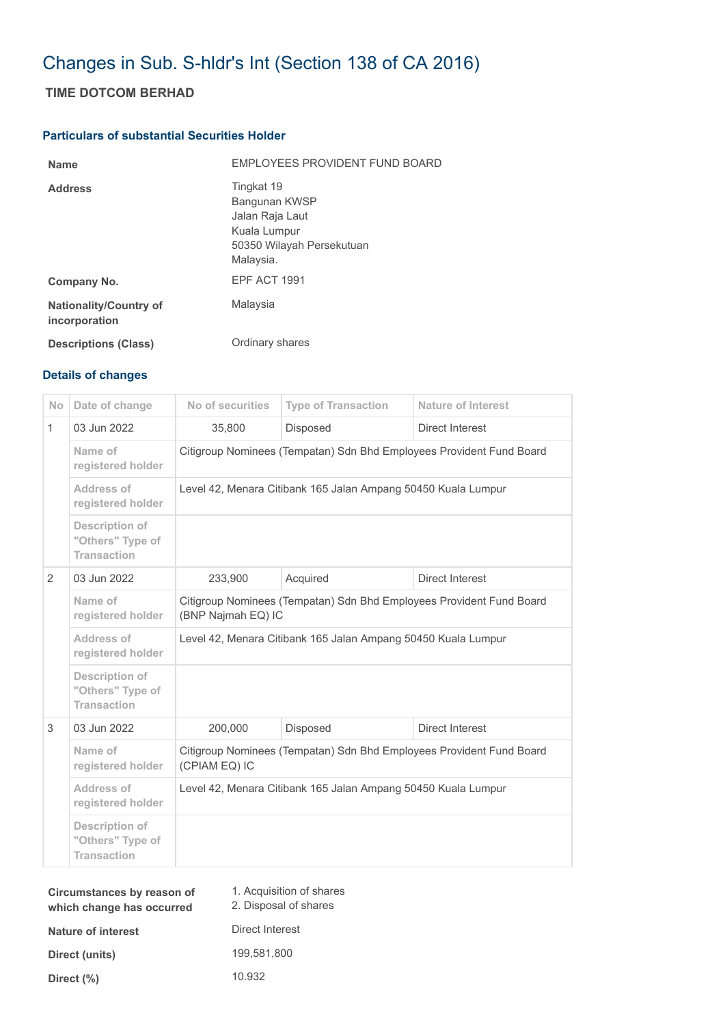# Changes in Sub. S-hldr's Int (Section 138 of CA 2016)

## **TIME DOTCOM BERHAD**

#### **Particulars of substantial Securities Holder**

| <b>Name</b>                                    | EMPLOYEES PROVIDENT FUND BOARD                                                                           |
|------------------------------------------------|----------------------------------------------------------------------------------------------------------|
| <b>Address</b>                                 | Tingkat 19<br>Bangunan KWSP<br>Jalan Raja Laut<br>Kuala Lumpur<br>50350 Wilayah Persekutuan<br>Malaysia. |
| Company No.                                    | EPF ACT 1991                                                                                             |
| <b>Nationality/Country of</b><br>incorporation | Malaysia                                                                                                 |
| <b>Descriptions (Class)</b>                    | Ordinary shares                                                                                          |

### **Details of changes**

| <b>No</b>    | Date of change                                                  | No of securities                                                                           | <b>Type of Transaction</b> | <b>Nature of Interest</b> |  |
|--------------|-----------------------------------------------------------------|--------------------------------------------------------------------------------------------|----------------------------|---------------------------|--|
| $\mathbf{1}$ | 03 Jun 2022                                                     | 35,800                                                                                     | <b>Disposed</b>            | Direct Interest           |  |
|              | Name of<br>registered holder                                    | Citigroup Nominees (Tempatan) Sdn Bhd Employees Provident Fund Board                       |                            |                           |  |
|              | Address of<br>registered holder                                 | Level 42, Menara Citibank 165 Jalan Ampang 50450 Kuala Lumpur                              |                            |                           |  |
|              | Description of<br>"Others" Type of<br><b>Transaction</b>        |                                                                                            |                            |                           |  |
| 2            | 03 Jun 2022                                                     | 233,900                                                                                    | Acquired                   | Direct Interest           |  |
|              | Name of<br>registered holder                                    | Citigroup Nominees (Tempatan) Sdn Bhd Employees Provident Fund Board<br>(BNP Najmah EQ) IC |                            |                           |  |
|              | Address of<br>registered holder                                 | Level 42, Menara Citibank 165 Jalan Ampang 50450 Kuala Lumpur                              |                            |                           |  |
|              | <b>Description of</b><br>"Others" Type of<br><b>Transaction</b> |                                                                                            |                            |                           |  |
| 3            | 03 Jun 2022                                                     | 200,000                                                                                    | <b>Disposed</b>            | Direct Interest           |  |
|              | Name of<br>registered holder                                    | Citigroup Nominees (Tempatan) Sdn Bhd Employees Provident Fund Board<br>(CPIAM EQ) IC      |                            |                           |  |
|              | Address of<br>registered holder                                 | Level 42, Menara Citibank 165 Jalan Ampang 50450 Kuala Lumpur                              |                            |                           |  |
|              | Description of<br>"Others" Type of<br><b>Transaction</b>        |                                                                                            |                            |                           |  |

| Circumstances by reason of<br>which change has occurred | 1. Acquisition of shares<br>2. Disposal of shares |
|---------------------------------------------------------|---------------------------------------------------|
| Nature of interest                                      | Direct Interest                                   |
| Direct (units)                                          | 199,581,800                                       |
| Direct $(\%)$                                           | 10.932                                            |